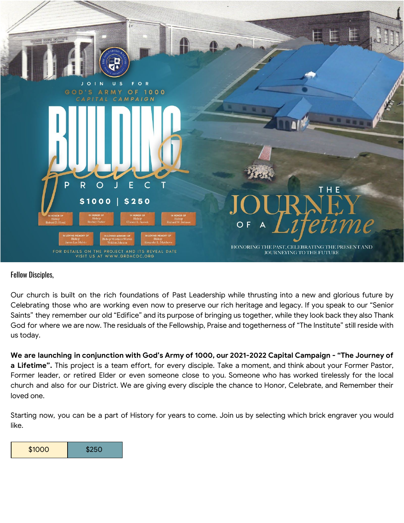

## Fellow Disciples,

Our church is built on the rich foundations of Past Leadership while thrusting into a new and glorious future by Celebrating those who are working even now to preserve our rich heritage and legacy. If you speak to our "Senior Saints" they remember our old "Edifice" and its purpose of bringing us together, while they look back they also Thank God for where we are now. The residuals of the Fellowship, Praise and togetherness of "The Institute" still reside with us today.

We are launching in conjunction with God's Army of 1000, our 2021-2022 Capital Campaign - "The Journey of **a Lifetime".** This project is a team effort, for every disciple. Take a moment, and think about your Former Pastor, Former leader, or retired Elder or even someone close to you. Someone who has worked tirelessly for the local church and also for our District. We are giving every disciple the chance to Honor, Celebrate, and Remember their loved one.

Starting now, you can be a part of History for years to come. Join us by selecting which brick engraver you would like.